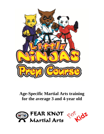

# **Age-Specific Martial Arts training for the average 3 and 4-year old**

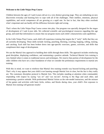## **Welcome to the Little Ninjas Prep Course**

Children between the ages of 3 and 4-years old are in a very distinct growing stage. They are embarking on new discoveries everyday and learning how to cope with all of the challenges. Their intellect, emotions, physical capabilities, and social competence all are growing at a rapid rate. So fast in fact, that they often overlook what's important and can hardly tell the difference between right and wrong.

That's where the Little Ninjas Prep Course comes into play. Our program was specially designed for the stages of development of 3 and 4-year olds. We collected scientific and psychological resources regarding this age group, and used that information to ensure that our program meets each child's characteristics and capabilities.

In the Little Ninjas Prep Course, each child will experience training that targets the 8 "early" skills that they are all currently developing. These skills include: kicking, punching, blocking, crawling, hopping, rolling, running, and catching. Each skill has been broken down into age-specific exercises, games, activities, and drills that compliment their stage of development.

We use the Martial Arts approach to building their skills through these drills. The approach includes reinforcing good discipline, displaying confidence, and maintaining a positive attitude. Technical Martial Arts training is very limited when it comes to traditional moves and techniques. We reserve that portion of development for the older children who have set a clear foundation of what we consider the preliminary requirements to martial arts training.

With this in mind, we want to reinforce that Martial Arts training extends way beyond kicking and punching. That's why it may appear that your child is not learning enough Martial Arts in class, but the fact is they really are. The customary discipline protocol is Martial Arts. This includes standing at attention when commanded, responding with respect by saying "yes sir" and "yes ma'am", bowing to the flags and each other, and maintaining a positive attitude. With professional Martial Artists as the role-model instructors, and the mixture of fun games and activities with basic kicks, strikes, and blocks during class, your child's first exposure to Martial Arts training will generate results!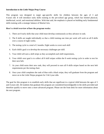#### **Introduction to the Little Ninjas Prep Course**

This program was designed to target age-specific skills for children between the ages of 3 and 4-years old. It will introduce early skills training to the pre-school age group, which has limited physical, intellectual, social, and emotional abilities. With that said, the emphasis is placed on building early fundamental skills training with a strategic balance of Martial Arts.

## **Here's a brief overview of how the program works:**

- 1. There are 8 early skills that your child must develop continuously as they advance in rank.
- 2. The 8 skills are taught individually so that a child training one time per week will work on all 8 skills over a course of eight weeks.
- 3. The testing cycle is a total of 2 months. Eight weeks to cover each skill
- 4. Each child's goal is to develop the necessary challenges per skill.
- 5. Your child will earn a skill stripe as they accomplish each skill requirement,.
- 6. Your child's next goal is to collect all 8 skill stripes within the 8 week testing cycle in order to test for their next belt.
- 7. As your child earns their new rank, they will proceed to earn all 8 skills stripes based on the next belt requirements per the testing chart.
- 8. Once your child completes the rank of blue with a black stripe, they will graduate from the program and move on to the Little Ninjas program for 5 & 6 year olds.

The goal for this program is to establish early skills that are significant in a typical child between the ages of 3 and 4-years old. All students that graduate this program are considered knowledgeable in the skills provided and therefore qualify to move onto a more advanced program. Please see the front desk for more information about the next program.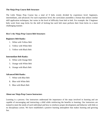## **The Ninja Prep Course Belt Structure**

The Little Ninjas Prep Course has a total of 9 belts evenly divided by experience level: beginners, intermediates, and advanced. For each experience level, the curriculum assembles a format that utilizes similar skill application techniques, but varies in the level of difficulty from belt to belt. For example: the 3 beginner belts work front snap kicks for the skill of kicking but each belt must perform their front kicks in a more challenging manner.

## **Here's the Ninja Prep Course Belt Structure:**

#### **Beginners Belt Ranks:**

- 1. White with Yellow Belt
- 2. Yellow with White Belt
- 3. Yellow with Black Belt

#### **Intermediate Belt Ranks:**

- 4. White with Orange Belt
- 5. Orange with White Belt
- 6. Orange with Black Belt

#### **Advanced Belt Ranks:**

- 7. White with Blue Belt
- 8. Blue with White Belt
- 9. Blue with Black Belt

#### **About our Ninja Prep Course Instructors**

Learning is a process. Our instructors understand the importance of the steps involved in learning and are capable of encouraging and instructing a child while reinforcing the benefits to learning. Our instructors are trained to meet the needs of each individual and how to reinforce proper development and behavior with little or no disciplinary action. We have established a positive learning atmosphere that makes learning and growing fun.